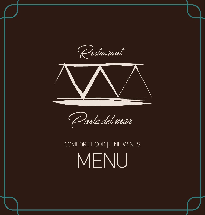Restaurant



Parta del mar

# COMFORT FOOD | FINE WINES MENU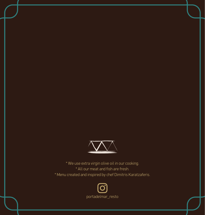

\* We use extra virgin olive oil in our cooking. \* All our meat and fish are fresh. \* Menu created and inspired by chef Dimitris Karatzaferis.

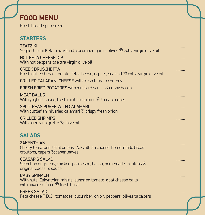# **FOOD MENU**

Fresh bread / pita bread ..........

## **STARTERS**

| <b>TZATZIKI</b><br>Yoghurt from Kefalonia island, cucumber, garlic, olives & extra virgin olive oil                                    |   |
|----------------------------------------------------------------------------------------------------------------------------------------|---|
| <b>HOT FETA CHEESE DIP</b><br>With hot peppers <sup>®</sup> extra virgin olive oil                                                     | . |
| <b>GREEK BRUSCHETTA</b><br>Fresh grilled bread, tomato, feta cheese, capers, sea salt <sup>®</sup> extra virgin olive oil              | . |
| <b>GRILLED TALAGANI CHEESE</b> with fresh tomato chutney                                                                               |   |
| <b>FRESH FRIED POTATOES</b> with mustard sauce $\mathcal{R}$ crispy bacon                                                              | . |
| <b>MEAT BALLS</b><br>With yoghurt sauce, fresh mint, fresh lime <sup>®</sup> tomato cores                                              | . |
| <b>SPLIT PEAS PUREE WITH CALAMARI</b><br>With cuttlefish ink, fried calamari & crispy fresh onion                                      | . |
| <b>GRILLED SHRIMPS</b><br>With ouzo vinaigrette & chive oil                                                                            |   |
| <b>SALADS</b>                                                                                                                          |   |
| <b>ZAKYNTHIAN</b><br>Cherry tomatoes, local onions, Zakynthian cheese, home-made bread<br>croutons, capers <sup>2</sup> caper leaves   |   |
| <b>CEASAR'S SALAD</b><br>Selection of greens, chicken, parmesan, bacon, homemade croutons $\otimes$<br>original Caesar's sauce         |   |
| <b>BABY SPINACH</b><br>With nuts, Zakynthian raisins, sundried tomato, goat cheese balls<br>with mixed sesame <sup>®</sup> fresh basil |   |
| <b>GREEK SALAD</b><br>Feta cheese P.D.O., tomatoes, cucumber, onion, peppers, olives & capers                                          |   |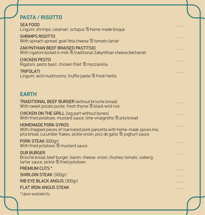## **PASTA / RISOTTO**

| <b>SEA FOOD</b><br>Linguini, shrimps, calamari, octopus & home-made bisque                                                                                                          | . |
|-------------------------------------------------------------------------------------------------------------------------------------------------------------------------------------|---|
| <b>SHRIMPS RISOTTO</b><br>With spinach spread, goat feta cheese <sup>®</sup> tomato tartar                                                                                          | . |
| <b>ZAKYNTHIAN BEEF BRAISED PASTITSIO</b><br>With rigatoni boiled in milk & traditional Zakynthian cheese béchamel                                                                   | . |
| <b>CHICKEN PESTO</b><br>Rigatoni, pesto basil, chicken fillet <sup>®</sup> mozzarella                                                                                               | . |
| <b>TRIFOLATI</b><br>Linguini, wild mushrooms, truffle paste <sup>®</sup> fresh herbs                                                                                                | . |
| <b>EARTH</b>                                                                                                                                                                        |   |
| <b>TRADITIONAL BEEF BURGER</b> (without brioche bread)<br>With sweet potato purée, fresh thyme <sup>®</sup> black wild rice                                                         | . |
| <b>CHICKEN ON THE GRILL</b> (leg part without bones)<br>With fried potatoes, mustard sauce, lime vinaigrette <sup>®</sup> pita bread                                                |   |
| <b>HOMEMADE PORK GYROS</b><br>With chopped pieces of marinated pork pancetta with home-made spices mix,<br>pita bread, cucumber flakes, pickle onion, pico de gallo & yoghurt sauce | . |
| PORK STEAK (600gr)<br>With fried potatoes <sup>2</sup> mustard sauce                                                                                                                | . |
| <b>OUR BURGER</b><br>Brioche bread, beef burger, bacon, cheese, onion, chutney tomato, iceberg,<br>tartar sauce, pickle <sup>®</sup> fried potatoes                                 | . |
| <b>PREMIUM CUTS *</b>                                                                                                                                                               |   |
| <b>SHIRLOIN STEAK (300gr)</b>                                                                                                                                                       | . |
| RIB EYE BLACK ANGUS (300qr)                                                                                                                                                         | . |
| <b>FLAT IRON ANGUS STEAK</b>                                                                                                                                                        | . |
| * Upon availability                                                                                                                                                                 |   |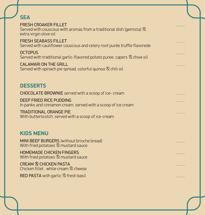| <b>SEA</b>                                                                                                                            |   |
|---------------------------------------------------------------------------------------------------------------------------------------|---|
| <b>FRESH CROAKER FILLET</b><br>Served with couscous with aromas from a traditional dish (gemista) $\otimes$<br>extra virgin olive oil | . |
| <b>FRESH SEABASS FILLET</b><br>Served with cauliflower couscous and celery root purée truffle flavorede                               | . |
| <b>OCTOPUS</b><br>Served with traditional garlic-flavored potato puree, capers $\&$ chive oil                                         | . |
| <b>CALAMARI ON THE GRILL</b><br>Served with spinach pie spread, colorful quinoa & chili oil                                           | . |
|                                                                                                                                       |   |
| <b>DESSERTS</b>                                                                                                                       |   |
| <b>CHOCOLATE BROWNIE</b> served with a scoop of ice- cream                                                                            |   |
| <b>DEEP FRIED RICE PUDDING</b><br>In panko and cinnamon cream, served with a scoop of ice cream                                       |   |
| <b>TRADITIONAL ORANGE PIE</b><br>With butterscotch, served with a scoop of ice-cream                                                  | . |
|                                                                                                                                       |   |
| <b>KIDS MENU</b>                                                                                                                      |   |
| MINI BEEF BURGERS (without brioche bread)<br>With fried potatoes <sup>®</sup> mustard sauce                                           | . |
| <b>HOMEMADE CHICKEN FINGERS</b><br>With fried potatoes & mustard sauce                                                                | . |
| <b>CREAM &amp; CHICKEN PASTA</b><br>Chicken fillet, white cream <sup>®</sup> cheese                                                   | . |
| <b>RED PASTA</b> with garlic <sup>®</sup> fresh basil                                                                                 | . |
|                                                                                                                                       |   |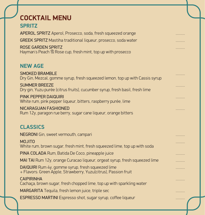| <b>COCKTAIL MENU</b>                                                                                                          |   |
|-------------------------------------------------------------------------------------------------------------------------------|---|
| <b>SPRITZ</b>                                                                                                                 |   |
| APEROL SPRITZ Aperol, Prosecco, soda, fresh squeezed orange                                                                   | . |
| <b>GREEK SPRITZ</b> Mastiha traditional liqueur, prosecco, soda water                                                         |   |
| <b>ROSE GARDEN SPRITZ</b>                                                                                                     | . |
| Hayman's Peach <sup>®</sup> Rose cup, fresh mint, top up with prosecco                                                        |   |
| <b>NEW AGE</b>                                                                                                                |   |
| <b>SMOKED BRAMBLE</b>                                                                                                         |   |
| Dry Gin, Mezcal, gomme syrup, fresh squeezed lemon, top up with Cassis syrup                                                  |   |
| <b>SUMMER BREEZE</b><br>Dry gin, Yuzu purée (citrus fruits), cucumber syrup, fresh basil, fresh lime                          |   |
| <b>PINK PEPPER DAIQUIRI</b>                                                                                                   | . |
| White rum, pink pepper liqueur, bitters, raspberry purée, lime                                                                |   |
| <b>NICARAGUAN FASHIONED</b><br>Rum 12y, paragon rue berry, sugar cane liqueur, orange bitters                                 | . |
|                                                                                                                               |   |
| <b>CLASSICS</b>                                                                                                               |   |
| NEGRONI Gin, sweet vermouth, campari                                                                                          | . |
| <b>MOJITO</b>                                                                                                                 |   |
| White rum, brown sugar, fresh mint, fresh squeezed lime, top up with soda<br>PINA COLADA Rum, Batida De Coco, pineapple juice |   |
| MAI TAI Rum 12y, orange Curacao liqueur, orgeat syrup, fresh squeezed lime                                                    | . |
| DAIQUIRI Rum 4y, gomme syrup, fresh squeezed lime                                                                             | . |
| + Flavors: Green Apple, Strawberry, Yuzu(citrus), Passion fruit                                                               | . |
| <b>CAIPIRINHA</b><br>Cachaça, brown sugar, fresh chopped lime, top up with sparkling water                                    | . |
| <b>MARGARITA</b> Tequila, fresh lemon juice, triple sec                                                                       | . |
| <b>ESPRESSO MARTINI</b> Espresso shot, sugar syrup, coffee liqueur                                                            |   |
|                                                                                                                               |   |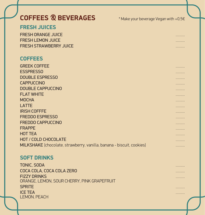# COFFEES <sup>®</sup> BEVERAGES **\*** Make your beverage Vegan with +0,5€

#### **FRESH JUICES**

FRESH ORANGE JUICE .......... FRESH LEMON JUICE .......... FRESH STRAWBERRY JUICE ..........

#### **COFFEES**

GREEK COFFEE .......... ESSPRESSO .......... DOUBLE ESPRESSO .......... CAPPUCCINO .......... DOUBLE CAPPUCCINO .......... **FLAT WHITE** the contract of the contract of the contract of the contract of the contract of the contract of the contract of the contract of the contract of the contract of the contract of the contract of the contract of t MOCHA .......... LATTE .......... IRISH COFFFE .......... FREDDO ESPRESSO .......... FREDDO CAPPUCCINO .......... FRAPPE .......... HOT TEA .......... HOT / COLD CHOCOLATE .......... MILKSHAKE (chocolate, strawberry, vanilla, banana - biscuit, cookies) ..........

#### **SOFT DRINKS**

TONIC, SODA COCA COLA, COCA COLA ZERO .......... FIZZY DRINKS .......... ORANGE, LEMON, SOUR CHERRY, PINK GRAPEFRUIT SPRITE .......... ICE TEA .......... LEMON, PEACH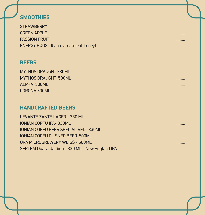### **SMOOTHIES**

STRAWBERRY .......... EXPERIMENT REPORT OF THE SECOND SECOND CONTRACT CONTRACT CONTRACT CONTRACT CONTRACT CONTRACT CONTRACT CONTRACT CONTRACT CONTRACT CONTRACT CONTRACT CONTRACT CONTRACT CONTRACT CONTRACT CONTRACT CONTRACT CONTRACT CONTRACT CON PASSION FRUIT .......... ENERGY BOOST (banana, oatmeal, honey) ..........

#### **BEERS**

| <b>MYTHOS DRAUGHT 330ML</b> | . |
|-----------------------------|---|
| <b>MYTHOS DRAUGHT 500ML</b> | . |
| <b>ALPHA 500ML</b>          | . |
| <b>CORONA 330ML</b>         | . |

#### **HANDCRAFTED BEERS**

| LEVANTE ZANTE LAGER - 330 ML                    | . |
|-------------------------------------------------|---|
| <b>IONIAN CORFU IPA-330ML</b>                   | . |
| <b>IONIAN CORFU BEER SPECIAL RED-330ML</b>      | . |
| <b>IONIAN CORFU PILSNER BEER-500ML</b>          | . |
| ORA MICROBREWERY WEISS - 500ML                  | . |
| SEPTEM Quaranta Giorni 330 ML - New England IPA | . |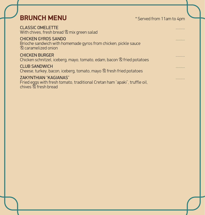## **BRUNCH MENU** \* Served from 11am to 4pm

CLASSIC OMELETTE .......... With chives, fresh bread & mix green salad

CHICKEN GYROS SANDO .......... Brioche sandwich with homemade gyros from chicken, pickle sauce & caramelized onion

CHICKEN BURGER .......... Chicken schnitzel, iceberg, mayo, tomato, edam, bacon & fried potatoes

CLUB SANDWICH .......... Cheese, turkey, bacon, iceberg, tomato, mayo & fresh fried potatoes

ZAKYNTHIAN "KAGIANAS" .......... Fried eggs with fresh tomato, traditional Cretan ham "apaki", truffle oil, chives & fresh bread